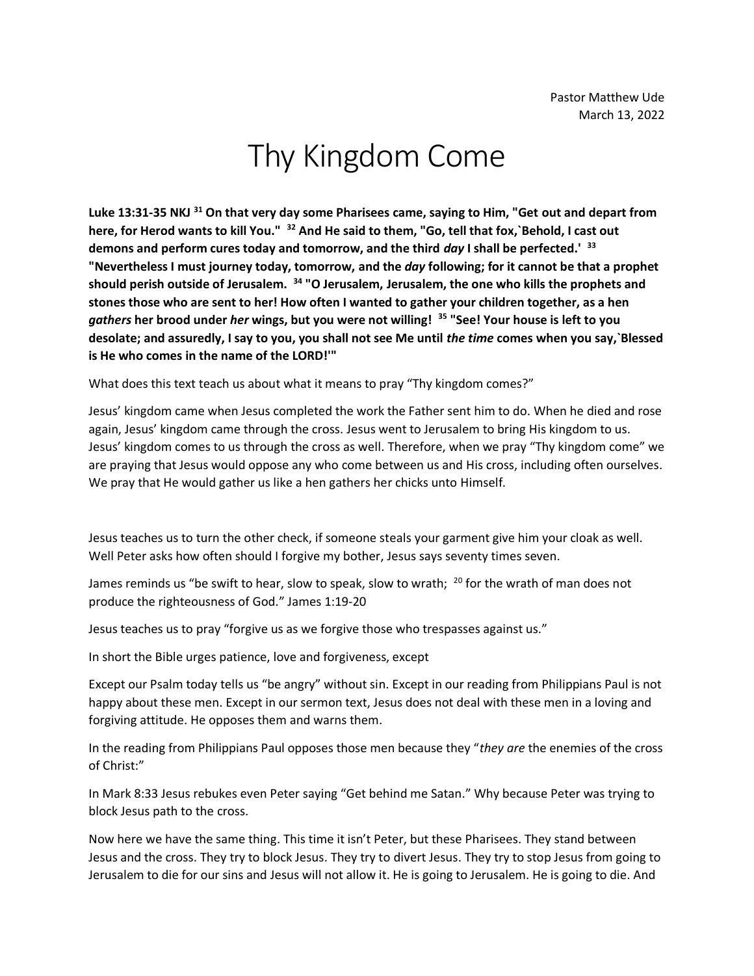## Thy Kingdom Come

**Luke 13:31-35 NKJ <sup>31</sup> On that very day some Pharisees came, saying to Him, "Get out and depart from here, for Herod wants to kill You." <sup>32</sup> And He said to them, "Go, tell that fox,`Behold, I cast out demons and perform cures today and tomorrow, and the third** *day* **I shall be perfected.' <sup>33</sup> "Nevertheless I must journey today, tomorrow, and the** *day* **following; for it cannot be that a prophet should perish outside of Jerusalem. <sup>34</sup> "O Jerusalem, Jerusalem, the one who kills the prophets and stones those who are sent to her! How often I wanted to gather your children together, as a hen**  *gathers* **her brood under** *her* **wings, but you were not willing! <sup>35</sup> "See! Your house is left to you desolate; and assuredly, I say to you, you shall not see Me until** *the time* **comes when you say,`Blessed is He who comes in the name of the LORD!'"**

What does this text teach us about what it means to pray "Thy kingdom comes?"

Jesus' kingdom came when Jesus completed the work the Father sent him to do. When he died and rose again, Jesus' kingdom came through the cross. Jesus went to Jerusalem to bring His kingdom to us. Jesus' kingdom comes to us through the cross as well. Therefore, when we pray "Thy kingdom come" we are praying that Jesus would oppose any who come between us and His cross, including often ourselves. We pray that He would gather us like a hen gathers her chicks unto Himself.

Jesus teaches us to turn the other check, if someone steals your garment give him your cloak as well. Well Peter asks how often should I forgive my bother, Jesus says seventy times seven.

James reminds us "be swift to hear, slow to speak, slow to wrath;  $^{20}$  for the wrath of man does not produce the righteousness of God." James 1:19-20

Jesus teaches us to pray "forgive us as we forgive those who trespasses against us."

In short the Bible urges patience, love and forgiveness, except

Except our Psalm today tells us "be angry" without sin. Except in our reading from Philippians Paul is not happy about these men. Except in our sermon text, Jesus does not deal with these men in a loving and forgiving attitude. He opposes them and warns them.

In the reading from Philippians Paul opposes those men because they "*they are* the enemies of the cross of Christ:"

In Mark 8:33 Jesus rebukes even Peter saying "Get behind me Satan." Why because Peter was trying to block Jesus path to the cross.

Now here we have the same thing. This time it isn't Peter, but these Pharisees. They stand between Jesus and the cross. They try to block Jesus. They try to divert Jesus. They try to stop Jesus from going to Jerusalem to die for our sins and Jesus will not allow it. He is going to Jerusalem. He is going to die. And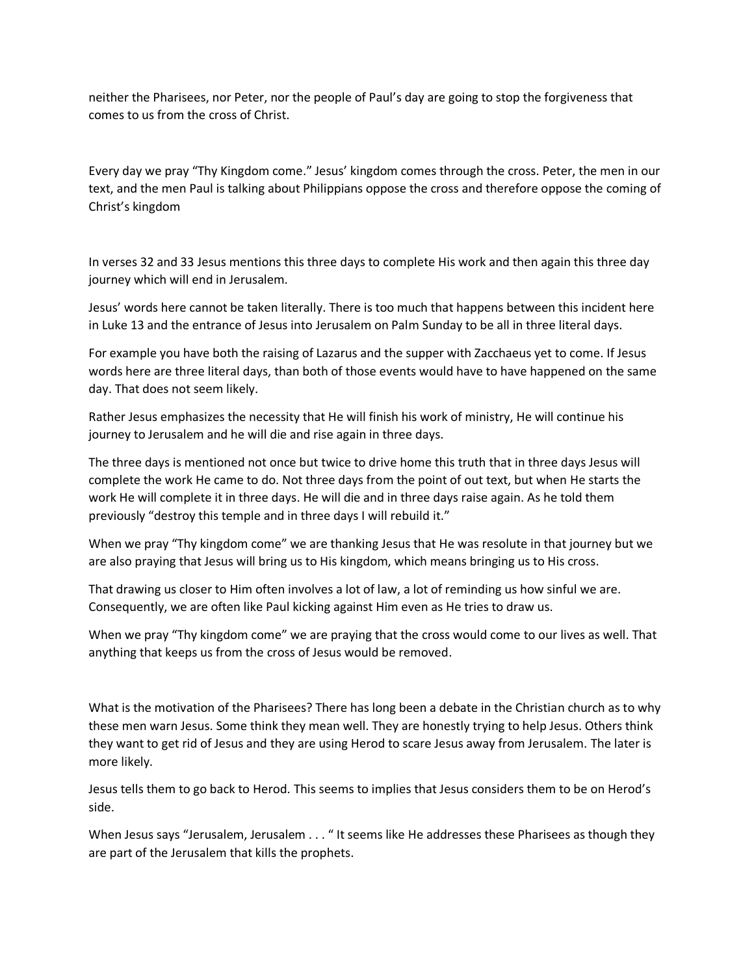neither the Pharisees, nor Peter, nor the people of Paul's day are going to stop the forgiveness that comes to us from the cross of Christ.

Every day we pray "Thy Kingdom come." Jesus' kingdom comes through the cross. Peter, the men in our text, and the men Paul is talking about Philippians oppose the cross and therefore oppose the coming of Christ's kingdom

In verses 32 and 33 Jesus mentions this three days to complete His work and then again this three day journey which will end in Jerusalem.

Jesus' words here cannot be taken literally. There is too much that happens between this incident here in Luke 13 and the entrance of Jesus into Jerusalem on Palm Sunday to be all in three literal days.

For example you have both the raising of Lazarus and the supper with Zacchaeus yet to come. If Jesus words here are three literal days, than both of those events would have to have happened on the same day. That does not seem likely.

Rather Jesus emphasizes the necessity that He will finish his work of ministry, He will continue his journey to Jerusalem and he will die and rise again in three days.

The three days is mentioned not once but twice to drive home this truth that in three days Jesus will complete the work He came to do. Not three days from the point of out text, but when He starts the work He will complete it in three days. He will die and in three days raise again. As he told them previously "destroy this temple and in three days I will rebuild it."

When we pray "Thy kingdom come" we are thanking Jesus that He was resolute in that journey but we are also praying that Jesus will bring us to His kingdom, which means bringing us to His cross.

That drawing us closer to Him often involves a lot of law, a lot of reminding us how sinful we are. Consequently, we are often like Paul kicking against Him even as He tries to draw us.

When we pray "Thy kingdom come" we are praying that the cross would come to our lives as well. That anything that keeps us from the cross of Jesus would be removed.

What is the motivation of the Pharisees? There has long been a debate in the Christian church as to why these men warn Jesus. Some think they mean well. They are honestly trying to help Jesus. Others think they want to get rid of Jesus and they are using Herod to scare Jesus away from Jerusalem. The later is more likely.

Jesus tells them to go back to Herod. This seems to implies that Jesus considers them to be on Herod's side.

When Jesus says "Jerusalem, Jerusalem . . . " It seems like He addresses these Pharisees as though they are part of the Jerusalem that kills the prophets.